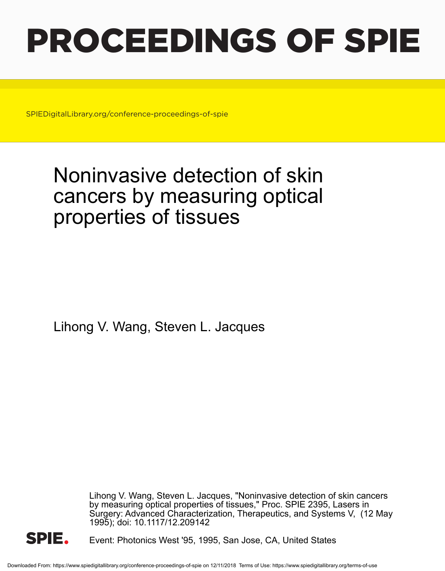# PROCEEDINGS OF SPIE

SPIEDigitalLibrary.org/conference-proceedings-of-spie

# Noninvasive detection of skin cancers by measuring optical properties of tissues

Lihong V. Wang, Steven L. Jacques

Lihong V. Wang, Steven L. Jacques, "Noninvasive detection of skin cancers by measuring optical properties of tissues," Proc. SPIE 2395, Lasers in Surgery: Advanced Characterization, Therapeutics, and Systems V, (12 May 1995); doi: 10.1117/12.209142



Event: Photonics West '95, 1995, San Jose, CA, United States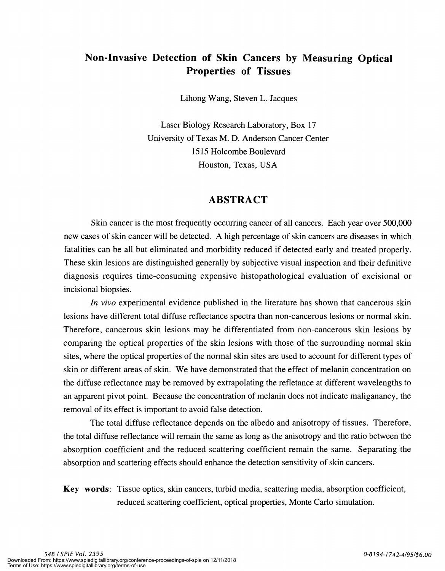### Non-Invasive Detection of Skin Cancers by Measuring Optical Properties of Tissues

Lihong Wang, Steven L. Jacques

Laser Biology Research Laboratory, Box 17 University of Texas M. D. Anderson Cancer Center 15 15 Holcombe Boulevard Houston, Texas, USA

#### ABSTRACT

Skin cancer is the most frequently occurring cancer of all cancers. Each year over 500,000 new cases of skin cancer will be detected. A high percentage of skin cancers are diseases in which fatalities can be all but eliminated and morbidity reduced if detected early and treated properly. These skin lesions are distinguished generally by subjective visual inspection and their definitive diagnosis requires time-consuming expensive histopathological evaluation of excisional or incisional biopsies.

In vivo experimental evidence published in the literature has shown that cancerous skin lesions have different total diffuse reflectance spectra than non-cancerous lesions or normal skin. Therefore, cancerous skin lesions may be differentiated from non-cancerous skin lesions by comparing the optical properties of the skin lesions with those of the surrounding normal skin sites, where the optical properties of the normal skin sites are used to account for different types of skin or different areas of skin. We have demonstrated that the effect of melanin concentration on the diffuse reflectance may be removed by extrapolating the refletance at different wavelengths to an apparent pivot point. Because the concentration of melanin does not indicate maliganancy, the removal of its effect is important to avoid false detection.

The total diffuse reflectance depends on the albedo and anisotropy of tissues. Therefore, the total diffuse reflectance will remain the same as long as the anisotropy and the ratio between the absorption coefficient and the reduced scattering coefficient remain the same. Separating the absorption and scattering effects should enhance the detection sensitivity of skin cancers.

Key words: Tissue optics, skin cancers, turbid media, scattering media, absorption coefficient, reduced scattering coefficient, optical properties, Monte Carlo simulation.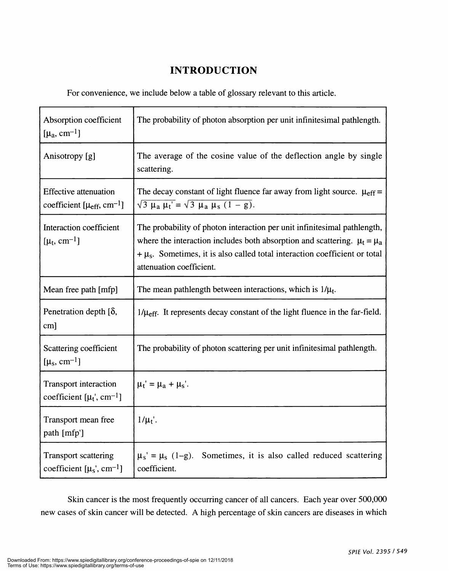## INTRODUCTION

For convenience, we include below a table of glossary relevant to this article.

| Absorption coefficient<br>$[\mu_a, \text{ cm}^{-1}]$                           | The probability of photon absorption per unit infinitesimal pathlength.                                                                                                                                                                                                  |
|--------------------------------------------------------------------------------|--------------------------------------------------------------------------------------------------------------------------------------------------------------------------------------------------------------------------------------------------------------------------|
| Anisotropy [g]                                                                 | The average of the cosine value of the deflection angle by single<br>scattering.                                                                                                                                                                                         |
| <b>Effective attenuation</b><br>coefficient [ $\mu_{eff}$ , cm <sup>-1</sup> ] | The decay constant of light fluence far away from light source. $\mu_{eff}$ =<br>$\sqrt{3} \mu_a \mu_t' = \sqrt{3} \mu_a \mu_s (1 - g).$                                                                                                                                 |
| Interaction coefficient<br>[ $\mu_t$ , cm <sup>-1</sup> ]                      | The probability of photon interaction per unit infinitesimal pathlength,<br>where the interaction includes both absorption and scattering. $\mu_t = \mu_a$<br>$+\mu_s$ . Sometimes, it is also called total interaction coefficient or total<br>attenuation coefficient. |
| Mean free path [mfp]                                                           | The mean pathlength between interactions, which is $1/\mu_t$ .                                                                                                                                                                                                           |
| Penetration depth $[\delta,$<br>cm]                                            | $1/\mu_{\text{eff}}$ . It represents decay constant of the light fluence in the far-field.                                                                                                                                                                               |
| Scattering coefficient<br>$[\mu_s, \text{cm}^{-1}]$                            | The probability of photon scattering per unit infinitesimal pathlength.                                                                                                                                                                                                  |
| <b>Transport interaction</b><br>coefficient $[\mu_t, \text{cm}^{-1}]$          | $\mu_t' = \mu_a + \mu_s'.$                                                                                                                                                                                                                                               |
| Transport mean free<br>path [mfp']                                             | $1/\mu_t$ .                                                                                                                                                                                                                                                              |
| <b>Transport scattering</b><br>coefficient $[\mu_s, \text{cm}^{-1}]$           | $\mu_s' = \mu_s (1-g)$ .<br>Sometimes, it is also called reduced scattering<br>coefficient.                                                                                                                                                                              |

Skin cancer is the most frequently occurring cancer of all cancers. Each year over 500,000 new cases of skin cancer will be detected. A high percentage of skin cancers are diseases in which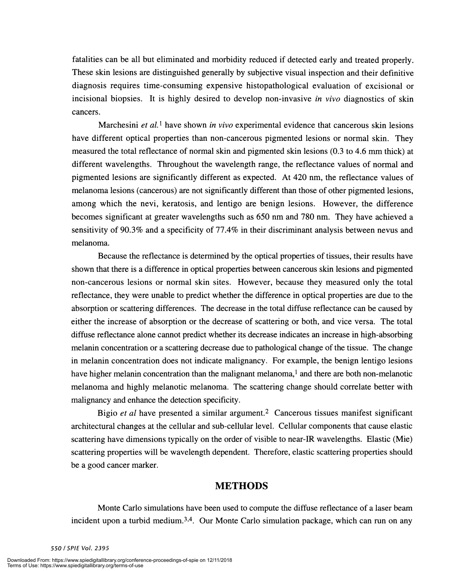fatalities can be all but eliminated and morbidity reduced if detected early and treated properly. These skin lesions are distinguished generally by subjective visual inspection and their definitive diagnosis requires time-consuming expensive histopathological evaluation of excisional or incisional biopsies. It is highly desired to develop non-invasive in vivo diagnostics of skin cancers.

Marchesini et  $al$ <sup>1</sup> have shown in vivo experimental evidence that cancerous skin lesions have different optical properties than non-cancerous pigmented lesions or normal skin. They measured the total reflectance of normal skin and pigmented skin lesions (0.3 to 4.6 mm thick) at different wavelengths. Throughout the wavelength range, the reflectance values of normal and pigmented lesions are significantly different as expected. At 420 nm, the reflectance values of melanoma lesions (cancerous) are not significantly different than those of other pigmented lesions, among which the nevi, keratosis, and lentigo are benign lesions. However, the difference becomes significant at greater wavelengths such as 650 nm and 780 nm. They have achieved a sensitivity of 90.3% and a specificity of 77.4% in their discriminant analysis between nevus and melanoma.

Because the reflectance is determined by the optical properties of tissues, their results have shown that there is a difference in optical properties between cancerous skin lesions and pigmented non-cancerous lesions or normal skin sites. However, because they measured only the total reflectance, they were unable to predict whether the difference in optical properties are due to the absorption or scattering differences. The decrease in the total diffuse reflectance can be caused by either the increase of absorption or the decrease of scattering or both, and vice versa. The total diffuse reflectance alone cannot predict whether its decrease indicates an increase in high-absorbing melanin concentration or a scattering decrease due to pathological change of the tissue. The change in melanin concentration does not indicate malignancy. For example, the benign lentigo lesions have higher melanin concentration than the malignant melanoma,<sup>1</sup> and there are both non-melanotic melanoma and highly melanotic melanoma. The scattering change should correlate better with malignancy and enhance the detection specificity.

Bigio *et al* have presented a similar argument.<sup>2</sup> Cancerous tissues manifest significant architectural changes at the cellular and sub-cellular level. Cellular components that cause elastic scattering have dimensions typically on the order of visible to near-IR wavelengths. Elastic (Mie) scattering properties will be wavelength dependent. Therefore, elastic scattering properties should be a good cancer marker.

#### METHODS

Monte Carlo simulations have been used to compute the diffuse reflectance of a laser beam incident upon a turbid medium.<sup>3,4</sup>. Our Monte Carlo simulation package, which can run on any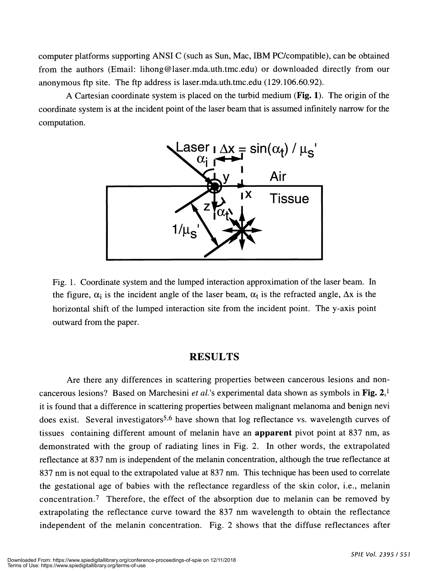computer platforms supporting ANSI C (such as Sun, Mac, IBM PC/compatible), can be obtained from the authors (Email: lihong@laser.mda.uth.tmc.edu) or downloaded directly from our anonymous ftp site. The ftp address is laser.mda.uth.tmc.edu (129.106.60.92).

A Cartesian coordinate system is placed on the turbid medium (Fig. 1). The origin of the coordinate system is at the incident point of the laser beam that is assumed infinitely narrow for the computation.



Fig. 1 . Coordinate system and the lumped interaction approximation of the laser beam. In the figure,  $\alpha_i$  is the incident angle of the laser beam,  $\alpha_t$  is the refracted angle,  $\Delta x$  is the horizontal shift of the lumped interaction site from the incident point. The y-axis point outward from the paper.

#### RESULTS

Are there any differences in scattering properties between cancerous lesions and noncancerous lesions? Based on Marchesini *et al.*'s experimental data shown as symbols in Fig.  $2<sup>1</sup>$ it is found that a difference in scattering properties between malignant melanoma and benign nevi does exist. Several investigators<sup>5,6</sup> have shown that log reflectance vs. wavelength curves of tissues containing different amount of melanin have an apparent pivot point at 837 nm, as demonstrated with the group of radiating lines in Fig. 2. In other words, the extrapolated reflectance at 837 nm is independent of the melanin concentration, although the true reflectance at 837 nm is not equal to the extrapolated value at 837 nm. This technique has been used to correlate the gestational age of babies with the reflectance regardless of the skin color, i.e., melanin concentration.7 Therefore, the effect of the absorption due to melanin can be removed by extrapolating the reflectance curve toward the 837 nm wavelength to obtain the reflectance independent of the melanin concentration. Fig. 2 shows that the diffuse reflectances after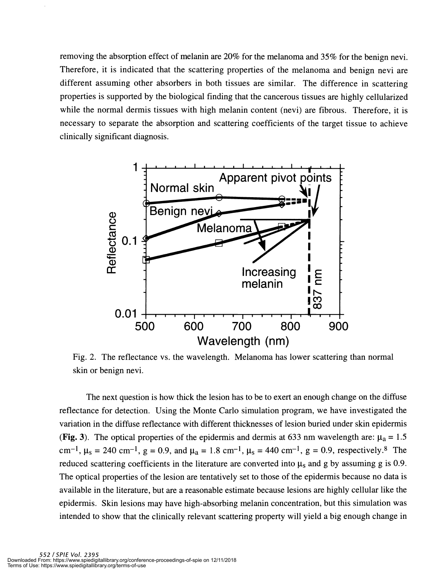removing the absorption effect of melanin are 20% for the melanoma and 35% forthe benign nevi. Therefore, it is indicated that the scattering properties of the melanoma and benign nevi are different assuming other absorbers in both tissues are similar. The difference in scattering properties is supported by the biological finding that the cancerous tissues are highly cellularized while the normal dermis tissues with high melanin content (nevi) are fibrous. Therefore, it is necessary to separate the absorption and scattering coefficients of the target tissue to achieve clinically significant diagnosis.



Fig. 2. The reflectance vs. the wavelength. Melanoma has lower scattering than normal skin or benign nevi.

The next question is how thick the lesion has to be to exert an enough change on the diffuse reflectance for detection. Using the Monte Carlo simulation program, we have investigated the variation in the diffuse reflectance with different thicknesses of lesion buried under skin epidermis (Fig. 3). The optical properties of the epidermis and dermis at 633 nm wavelength are:  $\mu_a = 1.5$ cm<sup>-1</sup>,  $\mu_s = 240 \text{ cm}^{-1}$ ,  $g = 0.9$ , and  $\mu_a = 1.8 \text{ cm}^{-1}$ ,  $\mu_s = 440 \text{ cm}^{-1}$ ,  $g = 0.9$ , respectively.<sup>8</sup> The reduced scattering coefficients in the literature are converted into  $\mu_s$  and g by assuming g is 0.9. The optical properties of the lesion are tentatively set to those of the epidermis because no data is available in the literature, but are a reasonable estimate because lesions are highly cellular like the epidermis. Skin lesions may have high-absorbing melanin concentration, but this simulation was intended to show that the clinically relevant scattering property will yield a big enough change in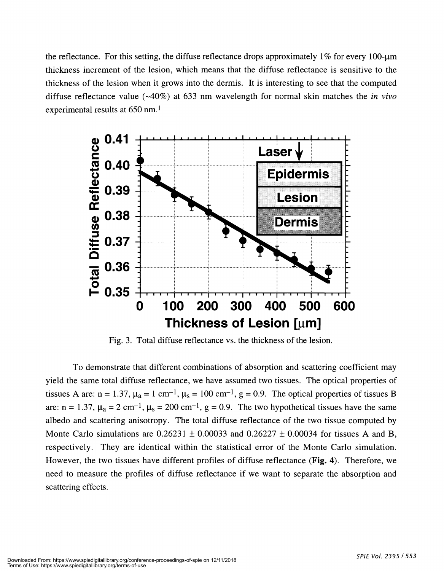the reflectance. For this setting, the diffuse reflectance drops approximately  $1\%$  for every 100-um thickness increment of the lesion, which means that the diffuse reflectance is sensitive to the thickness of the lesion when it grows into the dermis. It is interesting to see that the computed diffuse reflectance value ( $\sim$ 40%) at 633 nm wavelength for normal skin matches the *in vivo* experimental results at 650 nm.1



Fig. 3. Total diffuse reflectance vs. the thickness of the lesion.

To demonstrate that different combinations of absorption and scattering coefficient may yield the same total diffuse reflectance, we have assumed two tissues. The optical properties of tissues A are:  $n = 1.37$ ,  $\mu_a = 1$  cm<sup>-1</sup>,  $\mu_s = 100$  cm<sup>-1</sup>, g = 0.9. The optical properties of tissues B are:  $n = 1.37$ ,  $\mu_a = 2 \text{ cm}^{-1}$ ,  $\mu_s = 200 \text{ cm}^{-1}$ ,  $g = 0.9$ . The two hypothetical tissues have the same albedo and scattering anisotropy. The total diffuse reflectance of the two tissue computed by Monte Carlo simulations are  $0.26231 \pm 0.00033$  and  $0.26227 \pm 0.00034$  for tissues A and B, respectively. They are identical within the statistical error of the Monte Carlo simulation. However, the two tissues have different profiles of diffuse reflectance (Fig. 4). Therefore, we need to measure the profiles of diffuse reflectance if we want to separate the absorption and scattering effects.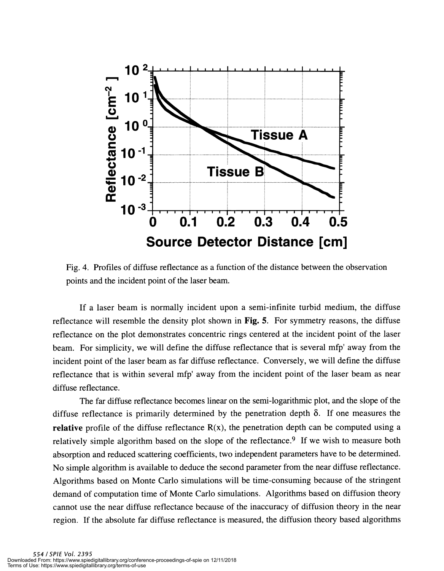

Fig. 4. Profiles of diffuse reflectance as a function of the distance between the observation points and the incident point of the laser beam.

If a laser beam is normally incident upon a semi-infinite turbid medium, the diffuse reflectance will resemble the density plot shown in Fig. 5. For symmetry reasons, the diffuse reflectance on the plot demonstrates concentric rings centered at the incident point of the laser beam. For simplicity, we will define the diffuse reflectance that is several mfp' away from the incident point of the laser beam as far diffuse reflectance. Conversely, we will define the diffuse reflectance that is within several mfp' away from the incident point of the laser beam as near diffuse reflectance.

The far diffuse reflectance becomes linear on the semi-logarithmic plot, and the slope of the diffuse reflectance is primarily determined by the penetration depth  $\delta$ . If one measures the relative profile of the diffuse reflectance  $R(x)$ , the penetration depth can be computed using a relatively simple algorithm based on the slope of the reflectance.<sup>9</sup> If we wish to measure both absorption and reduced scattering coefficients, two independent parameters have to be determined. No simple algorithm is available to deduce the second parameter from the near diffuse reflectance. Algorithms based on Monte Carlo simulations will be time-consuming because of the stringent demand of computation time of Monte Carlo simulations. Algorithms based on diffusion theory cannot use the near diffuse reflectance because of the inaccuracy of diffusion theory in the near region. If the absolute far diffuse reflectance is measured, the diffusion theory based algorithms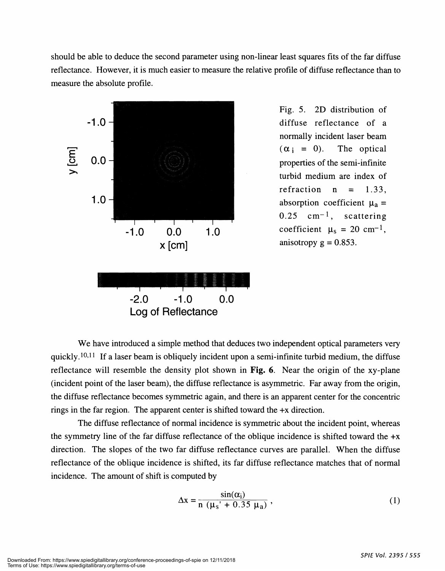should be able to deduce the second parameter using non-linear least squares fits of the far diffuse reflectance. However, it is much easier to measure the relative profile of diffuse reflectance than to measure the absolute profile.



Fig. 5. 2D distribution of normally incident laser beam refraction  $n = 1.33$ .  $0.25$  cm<sup>-1</sup>, scattering coefficient  $\mu_s = 20 \text{ cm}^{-1}$ , anisotropy  $g = 0.853$ .

We have introduced a simple method that deduces two independent optical parameters very quickly.<sup>10,11</sup> If a laser beam is obliquely incident upon a semi-infinite turbid medium, the diffuse reflectance will resemble the density plot shown in Fig. 6. Near the origin of the xy-plane (incident point of the laser beam), the diffuse reflectance is asymmetric. Far away from the origin, the diffuse reflectance becomes symmetric again, and there is an apparent center for the concentric rings in the far region. The apparent center is shifted toward the +x direction.

The diffuse reflectance of normal incidence is symmetric about the incident point, whereas the symmetry line of the far diffuse reflectance of the oblique incidence is shifted toward the +x direction. The slopes of the two far diffuse reflectance curves are parallel. When the diffuse reflectance of the oblique incidence is shifted, its far diffuse reflectance matches that of normal incidence. The amount of shift is computed by

$$
\Delta x = \frac{\sin(\alpha_i)}{n \left(\mu_s' + 0.35 \mu_a\right)}\,,\tag{1}
$$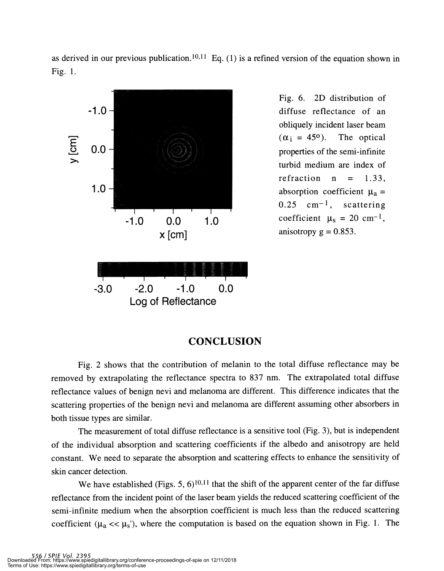as derived in our previous publication.<sup>10,11</sup> Eq. (1) is a refined version of the equation shown in Fig. 1.



Fig. 6. 2D distribution of . obliquely incident laser beam  $(\alpha_i = 45^{\circ})$ . The optical turbid medium are index of refraction  $n = 1.33$ ,  $0.25$  cm<sup>-1</sup>, scattering coefficient  $\mu_s = 20$  cm<sup>-1</sup>, anisotropy  $g = 0.853$ .

#### CONCLUSION

Fig. 2 shows that the contribution of melanin to the total diffuse reflectance may be removed by extrapolating the reflectance spectra to 837 nm. The extrapolated total diffuse reflectance values of benign nevi and melanoma are different. This difference indicates that the scattering properties of the benign nevi and melanoma are different assuming other absorbers in both tissue types are similar.

The measurement of total diffuse reflectance is a sensitive tool (Fig. 3), but is independent of the individual absorption and scattering coefficients if the albedo and anisotropy are held constant. We need to separate the absorption and scattering effects to enhance the sensitivity of skin cancer detection.

We have established (Figs. 5,  $6$ )<sup>10,11</sup> that the shift of the apparent center of the far diffuse reflectance from the incident point of the laser beam yields the reduced scattering coefficient of the semi-infinite medium when the absorption coefficient is much less than the reduced scattering coefficient ( $\mu_a \ll \mu_s$ '), where the computation is based on the equation shown in Fig. 1. The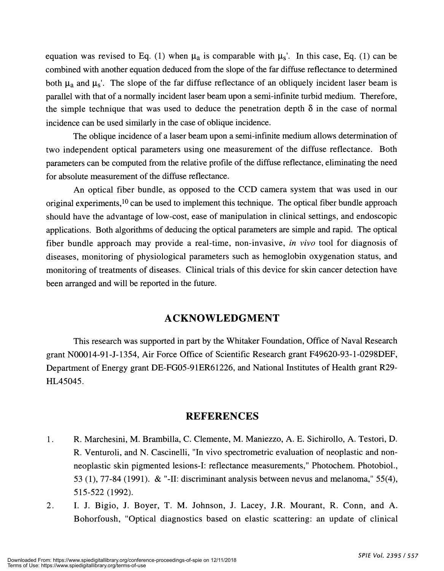equation was revised to Eq. (1) when  $\mu_a$  is comparable with  $\mu_s$ . In this case, Eq. (1) can be combined with another equation deduced from the slope of the far diffuse reflectance to determined both  $\mu_a$  and  $\mu_s'$ . The slope of the far diffuse reflectance of an obliquely incident laser beam is parallel with that of a normally incident laser beam upon a semi-infinite turbid medium. Therefore, the simple technique that was used to deduce the penetration depth  $\delta$  in the case of normal incidence can be used similarly in the case of oblique incidence.

The oblique incidence of a laser beam upon a semi-infinite medium allows determination of two independent optical parameters using one measurement of the diffuse reflectance. Both parameters can be computed from the relative profile of the diffuse reflectance, eliminating the need for absolute measurement of the diffuse reflectance.

An optical fiber bundle, as opposed to the CCD camera system that was used in our original experiments,<sup>10</sup> can be used to implement this technique. The optical fiber bundle approach should have the advantage of low-cost, ease of manipulation in clinical settings, and endoscopic applications. Both algorithms of deducing the optical parameters are simple and rapid. The optical fiber bundle approach may provide a real-time, non-invasive, in vivo tool for diagnosis of diseases, monitoring of physiological parameters such as hemoglobin oxygenation status, and monitoring of treatments of diseases. Clinical trials of this device for skin cancer detection have been arranged and will be reported in the future.

#### AC KNOWLEDGMENT

This research was supported in part by the Whitaker Foundation, Office of Naval Research grant N00014-91-J-1354, Air Force Office of Scientific Research grant F49620-93-1-0298DEF, Department of Energy grant DE-FGO5-91ER61226, and National Institutes of Health grant R29- HL45045.

#### REFERENCES

- 1. R. Marchesini, M. Brambilla, C. Clemente, M. Maniezzo, A. E. Sichirollo, A. Testori, D. R. Venturoli, and N. Cascinelli, "In vivo spectrometric evaluation of neoplastic and nonneoplastic skin pigmented lesions-I: reflectance measurements," Photochem. Photobiol., 53 (1), 77-84 (1991). & "-II: discriminant analysis between nevus and melanoma," 55(4), 515-522 (1992).
- 2. I. J. Bigio, J. Boyer, T. M. Johnson, J. Lacey, J.R. Mourant, R. Conn, and A. Bohorfoush, "Optical diagnostics based on elastic scattering: an update of clinical